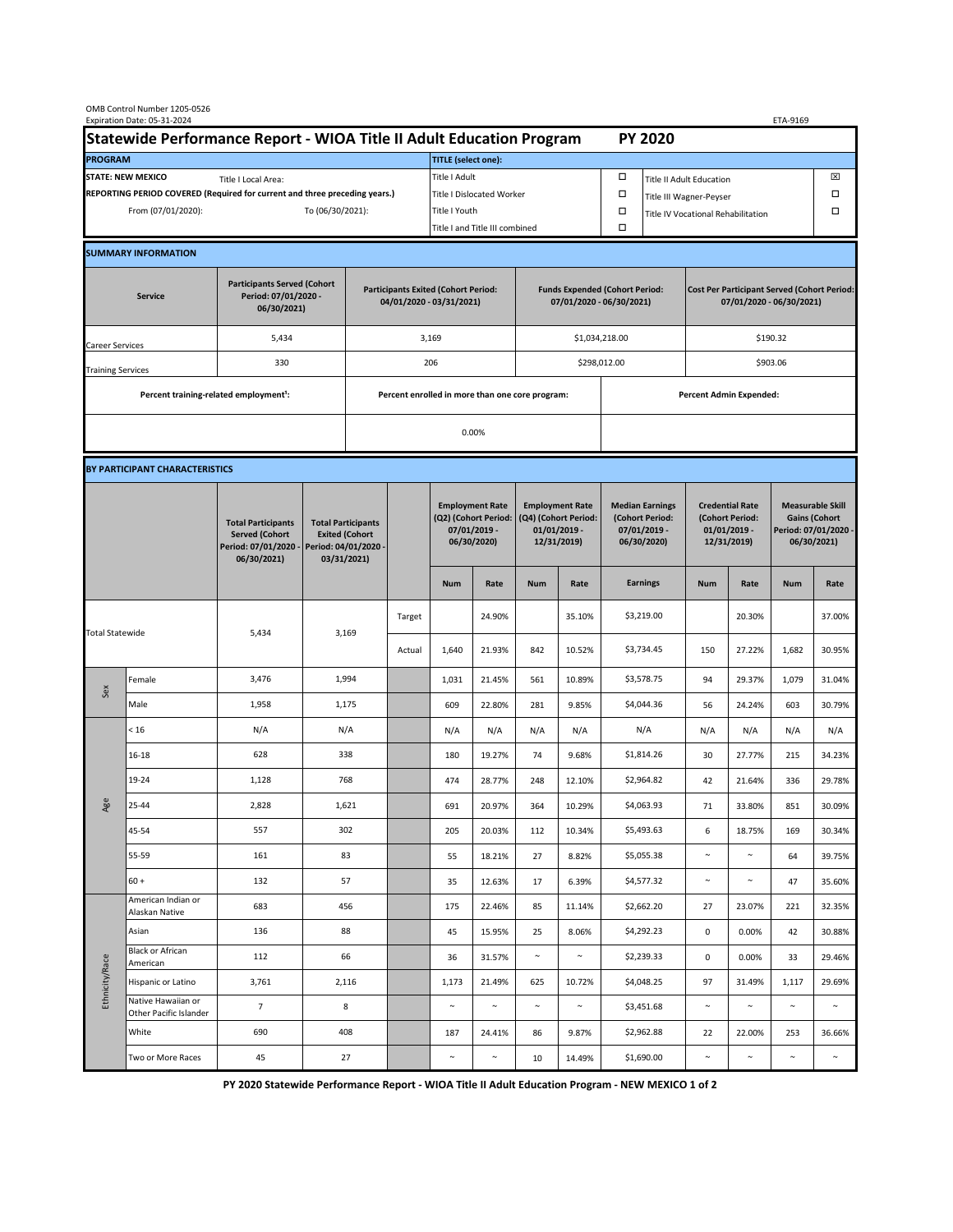| OMB Control Number 1205-0526<br>Expiration Date: 05-31-2024<br>ETA-9169                     |                                                    |                                                                                           |                                                                                           |                                                                        |        |                                  |                                                                               |                                                                                 |                  |                                                                            |                                    |                                                                                |                  |                                                                                        |                  |  |
|---------------------------------------------------------------------------------------------|----------------------------------------------------|-------------------------------------------------------------------------------------------|-------------------------------------------------------------------------------------------|------------------------------------------------------------------------|--------|----------------------------------|-------------------------------------------------------------------------------|---------------------------------------------------------------------------------|------------------|----------------------------------------------------------------------------|------------------------------------|--------------------------------------------------------------------------------|------------------|----------------------------------------------------------------------------------------|------------------|--|
| Statewide Performance Report - WIOA Title II Adult Education Program                        |                                                    |                                                                                           |                                                                                           |                                                                        |        | <b>PY 2020</b>                   |                                                                               |                                                                                 |                  |                                                                            |                                    |                                                                                |                  |                                                                                        |                  |  |
| <b>PROGRAM</b>                                                                              |                                                    |                                                                                           |                                                                                           |                                                                        |        |                                  | <b>TITLE</b> (select one):                                                    |                                                                                 |                  |                                                                            |                                    |                                                                                |                  |                                                                                        |                  |  |
| <b>STATE: NEW MEXICO</b><br>Title I Local Area:                                             |                                                    |                                                                                           |                                                                                           |                                                                        |        | Title I Adult                    |                                                                               |                                                                                 |                  | □                                                                          | <b>Title II Adult Education</b>    |                                                                                |                  |                                                                                        | ⊠                |  |
| REPORTING PERIOD COVERED (Required for current and three preceding years.)                  |                                                    |                                                                                           |                                                                                           |                                                                        |        | <b>Title I Dislocated Worker</b> |                                                                               |                                                                                 |                  | α                                                                          | Title III Wagner-Peyser            |                                                                                |                  |                                                                                        | Ω                |  |
| From (07/01/2020):                                                                          |                                                    |                                                                                           |                                                                                           | To (06/30/2021):                                                       |        |                                  | Title I Youth                                                                 |                                                                                 | α                |                                                                            | Title IV Vocational Rehabilitation |                                                                                |                  |                                                                                        | Ω                |  |
|                                                                                             |                                                    |                                                                                           |                                                                                           |                                                                        |        | Title I and Title III combined   |                                                                               |                                                                                 |                  |                                                                            |                                    |                                                                                |                  |                                                                                        |                  |  |
|                                                                                             | <b>SUMMARY INFORMATION</b>                         |                                                                                           |                                                                                           |                                                                        |        |                                  |                                                                               |                                                                                 |                  |                                                                            |                                    |                                                                                |                  |                                                                                        |                  |  |
| <b>Participants Served (Cohort</b><br>Period: 07/01/2020 -<br><b>Service</b><br>06/30/2021) |                                                    |                                                                                           |                                                                                           | <b>Participants Exited (Cohort Period:</b><br>04/01/2020 - 03/31/2021) |        |                                  |                                                                               | <b>Funds Expended (Cohort Period:</b><br>07/01/2020 - 06/30/2021)               |                  |                                                                            |                                    | <b>Cost Per Participant Served (Cohort Period:</b><br>07/01/2020 - 06/30/2021) |                  |                                                                                        |                  |  |
| Career Services                                                                             |                                                    | 5,434                                                                                     |                                                                                           |                                                                        | 3,169  |                                  |                                                                               |                                                                                 | \$1,034,218.00   |                                                                            | \$190.32                           |                                                                                |                  |                                                                                        |                  |  |
| <b>Training Services</b>                                                                    |                                                    | 330                                                                                       |                                                                                           | 206                                                                    |        |                                  |                                                                               |                                                                                 |                  |                                                                            | \$298,012.00                       |                                                                                | \$903.06         |                                                                                        |                  |  |
|                                                                                             | Percent training-related employment <sup>1</sup> : |                                                                                           | Percent enrolled in more than one core program:                                           |                                                                        |        |                                  |                                                                               |                                                                                 |                  |                                                                            | <b>Percent Admin Expended:</b>     |                                                                                |                  |                                                                                        |                  |  |
|                                                                                             |                                                    |                                                                                           |                                                                                           |                                                                        |        | 0.00%                            |                                                                               |                                                                                 |                  |                                                                            |                                    |                                                                                |                  |                                                                                        |                  |  |
|                                                                                             |                                                    |                                                                                           |                                                                                           |                                                                        |        |                                  |                                                                               |                                                                                 |                  |                                                                            |                                    |                                                                                |                  |                                                                                        |                  |  |
|                                                                                             | BY PARTICIPANT CHARACTERISTICS                     |                                                                                           |                                                                                           |                                                                        |        |                                  |                                                                               |                                                                                 |                  |                                                                            |                                    |                                                                                |                  |                                                                                        |                  |  |
|                                                                                             |                                                    | <b>Total Participants</b><br><b>Served (Cohort</b><br>Period: 07/01/2020 -<br>06/30/2021) | <b>Total Participants</b><br><b>Exited (Cohort</b><br>Period: 04/01/2020 -<br>03/31/2021) |                                                                        |        |                                  | <b>Employment Rate</b><br>(Q2) (Cohort Period:<br>07/01/2019 -<br>06/30/2020) | <b>Employment Rate</b><br>(Q4) (Cohort Period:<br>$01/01/2019$ -<br>12/31/2019) |                  | <b>Median Earnings</b><br>(Cohort Period:<br>$07/01/2019 -$<br>06/30/2020) |                                    | <b>Credential Rate</b><br>(Cohort Period:<br>$01/01/2019$ -<br>12/31/2019)     |                  | <b>Measurable Skill</b><br><b>Gains (Cohort</b><br>Period: 07/01/2020 -<br>06/30/2021) |                  |  |
|                                                                                             |                                                    |                                                                                           |                                                                                           |                                                                        |        | <b>Num</b>                       | Rate                                                                          | <b>Num</b>                                                                      | Rate             |                                                                            | <b>Earnings</b>                    | <b>Num</b>                                                                     | Rate             | <b>Num</b>                                                                             | Rate             |  |
| <b>Total Statewide</b>                                                                      |                                                    | 5,434                                                                                     | 3,169                                                                                     |                                                                        | Target |                                  | 24.90%                                                                        |                                                                                 | 35.10%           |                                                                            | \$3,219.00                         |                                                                                | 20.30%           |                                                                                        | 37.00%           |  |
|                                                                                             |                                                    |                                                                                           |                                                                                           |                                                                        | Actual | 1,640                            | 21.93%                                                                        | 842                                                                             | 10.52%           |                                                                            | \$3,734.45                         | 150                                                                            | 27.22%           | 1,682                                                                                  | 30.95%           |  |
| Sex                                                                                         | Female                                             | 3,476                                                                                     | 1,994                                                                                     |                                                                        |        | 1,031                            | 21.45%                                                                        | 561                                                                             | 10.89%           |                                                                            | \$3,578.75                         | 94                                                                             | 29.37%           | 1,079                                                                                  | 31.04%           |  |
|                                                                                             | Male                                               | 1,958                                                                                     | 1,175                                                                                     |                                                                        |        | 609                              | 22.80%                                                                        | 281                                                                             | 9.85%            |                                                                            | \$4,044.36                         | 56                                                                             | 24.24%           | 603                                                                                    | 30.79%           |  |
|                                                                                             | < 16                                               | N/A                                                                                       | N/A                                                                                       |                                                                        |        | N/A                              | N/A                                                                           | N/A                                                                             | N/A              |                                                                            | N/A                                | N/A                                                                            | N/A              | N/A                                                                                    | N/A              |  |
| Age                                                                                         | 16-18                                              | 628                                                                                       | 338                                                                                       |                                                                        |        | 180                              | 19.27%                                                                        | 74                                                                              | 9.68%            |                                                                            | \$1,814.26                         | 30                                                                             | 27.77%           | 215                                                                                    | 34.23%           |  |
|                                                                                             | 19-24                                              | 1,128                                                                                     | 768                                                                                       |                                                                        |        | 474                              | 28.77%                                                                        | 248                                                                             | 12.10%           |                                                                            | \$2,964.82                         | 42                                                                             | 21.64%           | 336                                                                                    | 29.78%           |  |
|                                                                                             | 25-44                                              | 2,828                                                                                     | 1,621                                                                                     |                                                                        |        | 691                              | 20.97%                                                                        | 364                                                                             | 10.29%           |                                                                            | \$4,063.93                         | 71                                                                             | 33.80%           | 851                                                                                    | 30.09%           |  |
|                                                                                             | 45-54                                              | 557                                                                                       | 302                                                                                       |                                                                        |        | 205                              | 20.03%                                                                        | 112                                                                             | 10.34%           |                                                                            | \$5,493.63                         | 6                                                                              | 18.75%           | 169                                                                                    | 30.34%           |  |
|                                                                                             | 55-59                                              | 161                                                                                       | 83                                                                                        |                                                                        |        | 55                               | 18.21%                                                                        | 27                                                                              | 8.82%            |                                                                            | \$5,055.38                         | $\sim$                                                                         | $\sim$           | 64                                                                                     | 39.75%           |  |
|                                                                                             | $60 +$<br>American Indian or                       | 132                                                                                       | 57                                                                                        |                                                                        |        | 35                               | 12.63%                                                                        | 17                                                                              | 6.39%            |                                                                            | \$4,577.32                         | $\sim$                                                                         | $\sim$           | 47                                                                                     | 35.60%           |  |
| Ethnicity/Race                                                                              | Alaskan Native                                     | 683                                                                                       | 456                                                                                       |                                                                        |        | 175                              | 22.46%                                                                        | 85                                                                              | 11.14%           |                                                                            | \$2,662.20                         | 27                                                                             | 23.07%           | 221                                                                                    | 32.35%           |  |
|                                                                                             | Asian<br><b>Black or African</b>                   | 136                                                                                       | 88                                                                                        |                                                                        |        | 45                               | 15.95%                                                                        | 25                                                                              | 8.06%<br>$\sim$  |                                                                            | \$4,292.23                         | $\mathbf 0$                                                                    | 0.00%            | 42                                                                                     | 30.88%           |  |
|                                                                                             | American                                           | 112                                                                                       | 66                                                                                        |                                                                        |        | 36                               | 31.57%                                                                        | $\sim$                                                                          |                  |                                                                            | \$2,239.33                         | 0                                                                              | 0.00%            | 33                                                                                     | 29.46%           |  |
|                                                                                             | Hispanic or Latino<br>Native Hawaiian or           | 3,761<br>7 <sup>7</sup>                                                                   | 2,116<br>8                                                                                |                                                                        |        | 1,173<br>$\sim$                  | 21.49%<br>$\sim$                                                              | 625<br>$\sim$                                                                   | 10.72%<br>$\sim$ |                                                                            | \$4,048.25<br>\$3,451.68           | 97<br>$\sim$                                                                   | 31.49%<br>$\sim$ | 1,117<br>$\sim$                                                                        | 29.69%<br>$\sim$ |  |
|                                                                                             | Other Pacific Islander<br>White                    | 690                                                                                       | 408                                                                                       |                                                                        |        | 187                              | 24.41%                                                                        | 86                                                                              | 9.87%            |                                                                            | \$2,962.88                         | 22                                                                             | 22.00%           | 253                                                                                    | 36.66%           |  |
|                                                                                             | Two or More Races                                  | 45                                                                                        | 27                                                                                        |                                                                        |        | $\sim$                           | $\sim$                                                                        | 10                                                                              | 14.49%           |                                                                            | \$1,690.00                         | $\sim$                                                                         | $\sim$           | $\sim$                                                                                 | $\sim$           |  |
|                                                                                             |                                                    |                                                                                           |                                                                                           |                                                                        |        |                                  |                                                                               |                                                                                 |                  |                                                                            |                                    |                                                                                |                  |                                                                                        |                  |  |

**PY 2020 Statewide Performance Report - WIOA Title II Adult Education Program - NEW MEXICO 1 of 2**